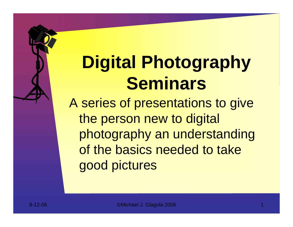# **Digital Photography Seminars**

A series of presentations to give the person new to digital photography an understanding of the basics needed to take good pictures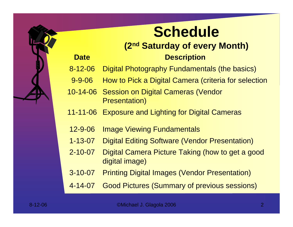### **Schedule**

#### **(2nd Saturday of every Month) Description**

- 8-12-06Digital Photography Fundamentals (the basics)
- 9-9-06How to Pick a Digital Camera (criteria for selection
- 10-14-06 Session on Digital Cameras (Vendor Presentation)
- 11-11-06 Exposure and Lighting for Digital Cameras
- 12-9-06Image Viewing Fundamentals

**Date**

- 1-13-07Digital Editing Software (Vendor Presentation)
- 2-10-07 Digital Camera Picture Taking (how to get a good digital image)
- 3-10-07Printing Digital Images (Vendor Presentation)
- 4-14-07Good Pictures (Summary of previous sessions)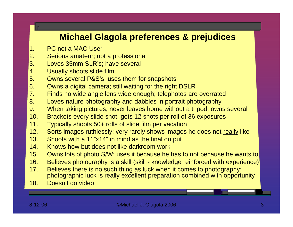#### **Michael Glagola preferences & prejudices**

1.PC not a MAC User

r

- 2.Serious amateur; not a professional
- 3. Loves 35mm SLR's; have several
- 4.Usually shoots slide film
- 5. Owns s e v eral P&S's; uses t hem f or snaps hots
- 6. Owns a digital camera; still waiting for the right DSLR
- 7.Finds no wide angle lens wide enough; telephotos are overrated
- 8. Loves nature photography and dabbles in portrait photography
- 9. When taking pictures, never leaves home without a tripod; owns several
- 10. Brackets every slide shot; gets 12 shots per roll of 36 exposures
- 11.Typically shoots 50+ rolls of slide film per vacation
- 12.Sorts images ruthlessly; very rarely shows images he does not really like
- 13. Shoots with a 11"x14" in mind as the final output
- 14.Knows how but does not like darkroom work
- 15. Owns lots of photo S/W; uses it because he has to not because he wants to
- 16. Believes photography is a skill (skill knowledge reinforced with experience)
- 17. Believes there is no such thing as luck when it comes to photography; photographic luck is really excellent preparation combined with opportunity
- 18. Doesn't do video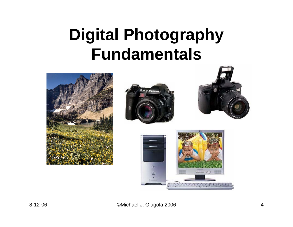# **Digital Photography Fundamentals**

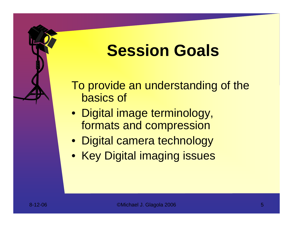## **Session Goals**

To provide an understanding of the basics of

- Digital image terminology, formats and compression
- Digital camera technology
- Key Digital imaging issues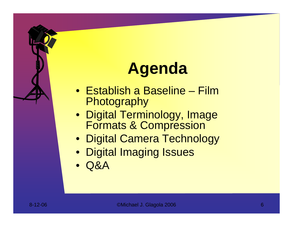# **Agenda**

- Establish a Baseline Film **Photography**
- Digital Terminology, Image Formats & Compression
- Digital Camera Technology
- Digital Imaging Issues
- $\bullet$ Q &A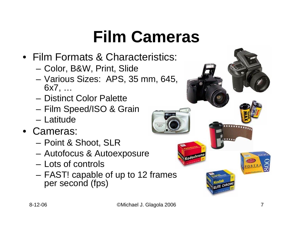# **Film Cameras**

- •Film Formats & Characteristics:
	- Color, B&W, Print, Slide
	- Various Sizes: APS, 35 mm, 645, 6x7, …
	- Distinct Color Palette
	- Film Speed/ISO & Grain
	- –Latitude
- •Cameras:
	- Point & Shoot, SLR
	- Autofocus & Autoexposure
	- –Lots of controls
	- FAST! capable of up to 12 frames per second (fps)

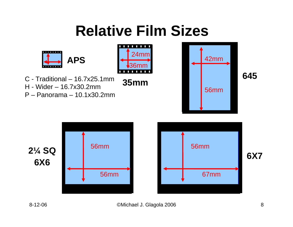### **Relative Film Sizes**

36mm

 $\mathcal{L}_{\mathcal{A}}$ 

**35mm**

24mm

. . . . .



- C Traditional 16.7x25.1mm
- H -Wider 16.7x30.2mm
- P –Panorama 10.1x30.2mm





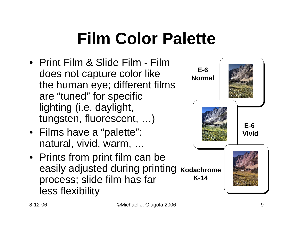# **Film Color Palette**

- •Print Film & Slide Film Film does not capture color like the human eye; different films are "tuned" for specific lighting (i.e. daylight, tungsten, fluorescent, …)
- Films have a "palette": natural, vivid, warm, …
- Prints from print film can be easily adjusted during printing **Kodachrome** process; slide film has far less flexibility **K-14**

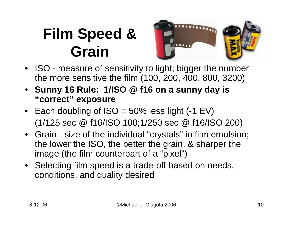### **Film Speed & Grain**



- ISO measure of sensitivity to light; bigger the number the more sensitive the film (100, 200, 400, 800, 3200)
- **Sunny 16 Rule: 1/ISO @ f16 on a sunny day is "correct" exposure**
- Each doubling of ISO = 50% less light (-1 EV) (1/125 sec @ f16/ISO 100;1/250 sec @ f16/ISO 200)
- Grain size of the individual "crystals" in film emulsion; the lower the ISO, the better the grain, & sharper the image (the film counterpart of a "pixel")
- Selecting film speed is a trade-off based on needs, conditions, and quality desired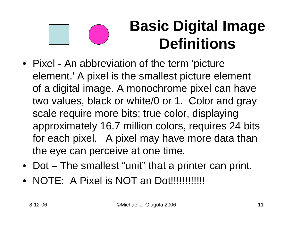#### **Basic Digital Image Definitions**

- Pixel An abbreviation of the term 'picture element.' A pixel is the smallest picture element of a digital image. A monochrome pixel can have two values, black or white/0 or 1. Color and gray scale require more bits; true color, displaying approximately 16.7 million colors, requires 24 bits for each pixel. A pixel may have more data than the eye can perceive at one time.
- Dot The smallest "unit" that a printer can print.
- •NOTE: A Pixel is NOT an Dot!!!!!!!!!!!!!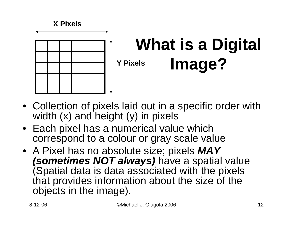#### **X Pixels**



#### **What is a Digital Image? Y Pixels**

- Collection of pixels laid out in a specific order with width (x) and height (y) in pixels
- Each pixel has a numerical value which correspond to a colour or gray scale value
- A Pixel has no absolute size; pixels *MAY (sometimes NOT always)* have a spatial value (Spatial data is data associated with the pixels that provides information about the size of the objects in the image).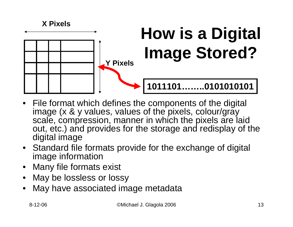

- File format which defines the components of the digital image (x & y values, values of the pixels, colour/gray scale, compression, manner in which the pixels are laid out, etc.) and provides for the storage and redisplay of the digital image
- Standard file formats provide for the exchange of digital image information
- Many file formats exist
- •May be lossless or lossy
- •May have associated image metadata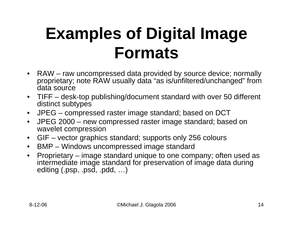# **Examples of Digital Image Formats**

- $\bullet$ RAW – raw uncompressed data provided by source device; normally proprietary; note RAW usually data "as is/unfiltered/unchanged" from data source
- $\bullet$ TIFF – desk-top publishing/document standard with over 50 different distinc t subtypes
- $\bullet$ JPEG – compressed raster image standard; based on DC T
- $\bullet$ JPEG 2000 – new compressed raster image standard; based on wavelet compression
- $\bullet$ GIF – vector graphics standard; supports only 256 colours
- $\bullet$ BMP – Windows uncompressed image standard
- •Proprietary – image standard unique to one company; often used as intermediate image standard for preservation of image data during editing (.psp, .psd, .pdd, …)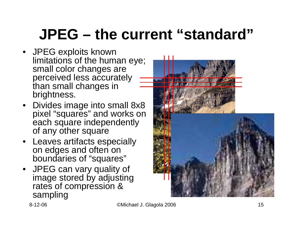## **JPEG – the current "standard"**

- JPEG exploits known limitations of the human eye; small color changes are perceived less accurately than small changes in brightness.
- Divides image into small 8x8 pixel "squares" and works on each square independently of any other square
- Leaves artifacts especially on edges and often on boundaries of "squares"
- JPEG can vary quality of image stored by adjusting rates of compression & sampling

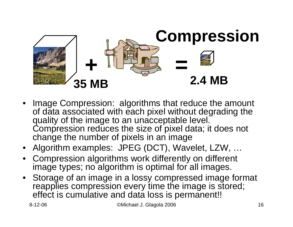

- Image Compression: algorithms that reduce the amount of data associated with each pixel without degrading the quality of the image to an unacceptable level. Compression reduces the size of pixel data; it does not change the number of pixels in an image
- Algorithm examples: JPEG (DCT), Wavelet, LZW, …
- •Compression algorithms work differently on different image types; no algorithm is optimal for all images.
- Storage of an image in a lossy compressed image format reapplies compression every time the image is stored; effect is cumulative and data loss is permanent!!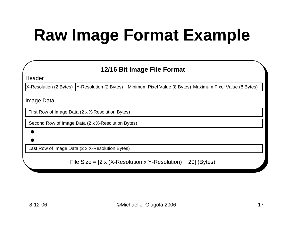# **Raw Image Format Example**

| 12/16 Bit Image File Format                                                            |  |  |                                                             |
|----------------------------------------------------------------------------------------|--|--|-------------------------------------------------------------|
| Header                                                                                 |  |  |                                                             |
| X-Resolution (2 Bytes)   Y-Resolution (2 Bytes)                                        |  |  | Minimum Pixel Value (8 Bytes) Maximum Pixel Value (8 Bytes) |
| Image Data                                                                             |  |  |                                                             |
| First Row of Image Data (2 x X-Resolution Bytes)                                       |  |  |                                                             |
| Second Row of Image Data (2 x X-Resolution Bytes)                                      |  |  |                                                             |
|                                                                                        |  |  |                                                             |
|                                                                                        |  |  |                                                             |
| Last Row of Image Data (2 x X-Resolution Bytes)                                        |  |  |                                                             |
| File Size = $[2 \times (X\text{-Resolution} \times Y\text{-Resolution}) + 20]$ (Bytes) |  |  |                                                             |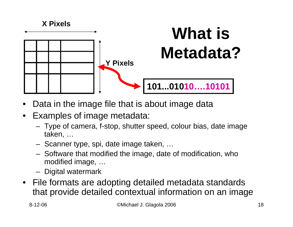

- •Data in the image file that is about image data
- • Examples of image metadata:
	- Type of camera, f-stop, shutter speed, colour bias, date image taken, …
	- Scanner type, spi, date image taken, …
	- Software that modified the image, date of modification, who modified image, …
	- Digital watermark
- File formats are adopting detailed metadata standards that provide detailed contextual information on an image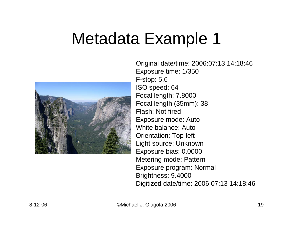## Metadata Example 1



Original date/time: 2006:07:13 14:18:46 Exposure time: 1/350 F-stop: 5.6 ISO speed: 64 Focal length: 7.8000 Focal length (35mm): 38 Flash: Not firedExposure mode: Auto White balance: AutoOrientation: Top-left Light source: Unknown Exposure bias: 0.0000 Metering mode: Pattern Exposure program: Normal Brightness: 9.4000 Digitized date/time: 2006:07:13 14:18:46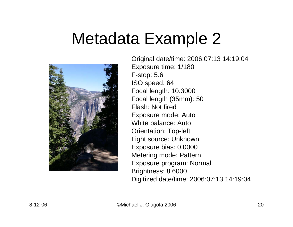## Metadata Example 2



Original date/time: 2006:07:13 14:19:04 Exposure time: 1/180 F-stop: 5.6 ISO speed: 64 Focal length: 10.3000 Focal length (35mm): 50 Flash: Not firedExposure mode: Auto White balance: AutoOrientation: Top-left Light source: Unknown Exposure bias: 0.0000 Metering mode: Pattern Exposure program: Normal Brightness: 8.6000 Digitized date/time: 2006:07:13 14:19:04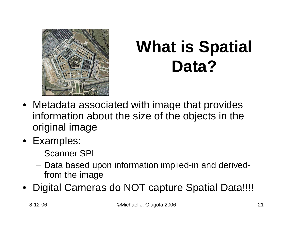

# **What is Spatial Data?**

- Metadata associated with image that provides information about the size of the objects in the original image
- Examples:
	- –Scanner SPI
	- Data based upon information implied-in and derivedfrom the image
- Digital Cameras do NOT capture Spatial Data!!!!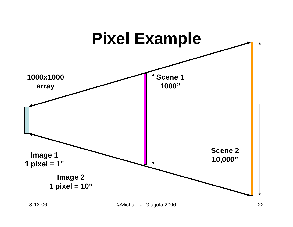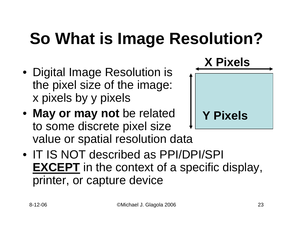# **So What is Image Resolution?**

- Digital Image Resolution is the pixel size of the image: x pixels by y pixels
- **May or may not** be related to some discrete pixel size value or spatial resolution data



• IT IS NOT described as PPI/DPI/SPI **EXCEPT** in the context of a specific display, printer, or capture device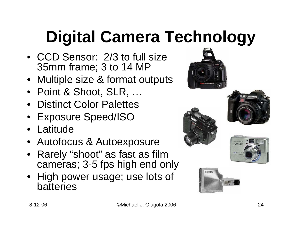# **Digital Camera Technology**

- •CCD Sensor: 2/3 to full size 35mm frame; 3 to 14 MP
- Multiple size & format outputs
- Point & Shoot, SLR, …
- Distinct Color Palettes
- Exposure Speed/ISO
- Latitude
- Autofocus & Autoexposure
- •Rarely "shoot" as fast as film cameras; 3-5 fps high end only
- High power usage; use lots of batteries









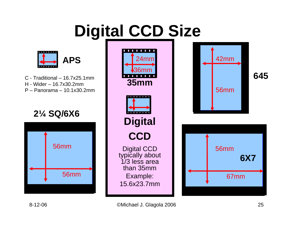# **Digital CCD Size**



C -Traditional – 16.7x25.1mmH -Wider – 16.7x30.2mmP –Panorama – 10.1x30.2mm

**2¼ SQ/6X6** 



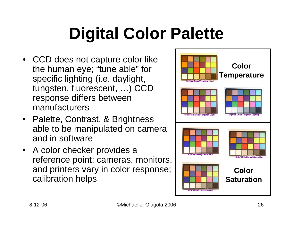# **Digital Color Palette**

- CCD does not capture color like the human eye; "tune able" for specific lighting (i.e. daylight, tungsten, fluorescent, …) CCD response differs between manufacturers
- Palette, Contrast, & Brightness able to be manipulated on camera and in software
- A color checker provides a reference point; cameras, monitors, and printers vary in color response; calibration helps

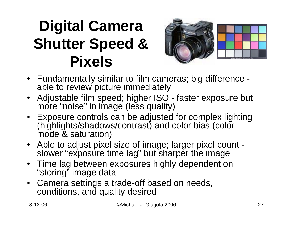### **Digital Camera Shutter Speed & Pixels**



- Fundamentally similar to film cameras; big difference able to review picture immediately
- $\bullet$ Adjustable film speed; higher ISO - faster exposure but more "noise" in image (less quality)
- •Exposure controls can be adjusted for complex lighting (highlights/shadows/contrast) and color bias (color mode & saturation)
- Able to adjust pixel size of image; larger pixel count slower "exposure time lag" but sharper the image
- Time lag between exposures highly dependent on "storing" image data
- Camera settings a trade-off based on needs, conditions, and quality desired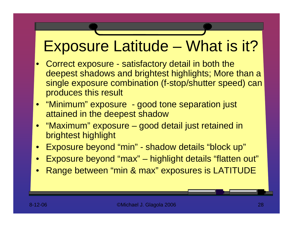#### Exposure Latitude – What is it?

- •Correct exposure - satisfactory detail in both the deepest shadows and brightest highlights; More than a single exposure combination (f-stop/shutter speed) can produces this result
- "Minimum" exposure good tone separation just attained in the deepest shadow
- "Maximum" exposure good detail just retained in brightest highlight
- $\bullet$ Exposure beyond "min" - shadow details "block up"
- •Exposure beyond "max" –highlight details "flatten out"
- •Range between "min & max" exposures is LATITUDE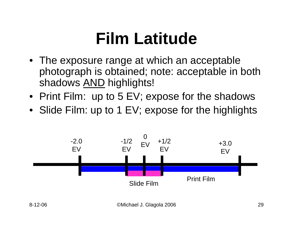## **Film Latitude**

- The exposure range at which an acceptable photograph is obtained; note: acceptable in both shadows <u>AND</u> highlights!
- Print Film: up to 5 EV; expose for the shadows
- Slide Film: up to 1 EV; expose for the highlights

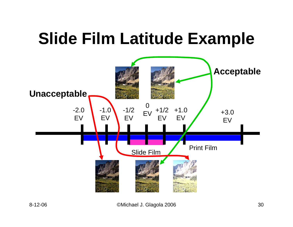# **Slide Film Latitude Example**

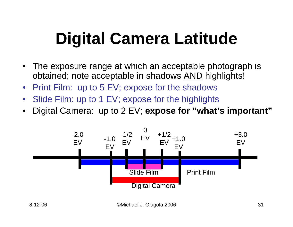# **Digital Camera Latitude**

- •The exposure range at which an acceptable photograph is obtained; note acceptable in shadows AND highlights!
- Print Film: up to 5 EV; expose for the shadows
- •Slide Film: up to 1 EV; expose for the highlights
- •Digital Camera: up to 2 EV; **expose for "what's important"**

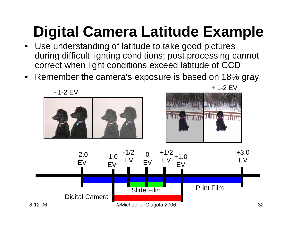# **Digital Camera Latitude Example**

- Use understanding of latitude to take good pictures during difficult lighting conditions; post processing cannot correct when light conditions exceed latitude of CCD
- $\bullet$ Remember the camera's exposure is based on 18% gray

- 1-2 EV





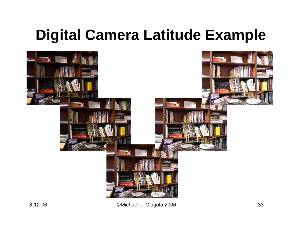### **Digital Camera Latitude Example**

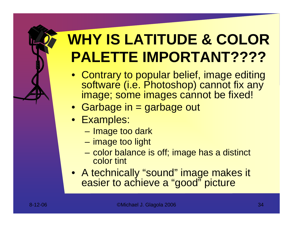### **WHY IS LATITUDE & COLOR PALETTE IMPORTANT????**

- Contrary to popular belief, image editing software (i.e. Photoshop) cannot fix any image; some images cannot be fixed!
- Garbage in = garbage out
- Examples:
	- Image too dark
	- image too light
	- color balance is off; image has a distinct color tint
- A technically "sound" image makes it easier to achieve a "good" picture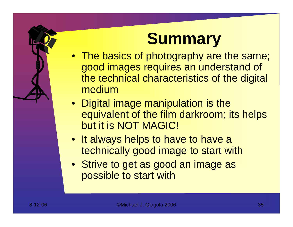## **Summary**

- The basics of photography are the same; good images requires an understand of the technical characteristics of the digital medium
- Digital image manipulation is the equivalent of the film darkroom; its helps but it is NOT MAGIC!
- It always helps to have to have a technically good image to start with
- Strive to get as good an image as possible to start with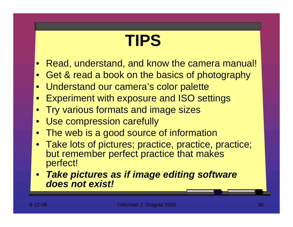# **TIPS**

- $\bullet$ Read, understand, and know the camera manual!
- $\bullet$ Get & read a book on the basics of photography
- Understand our camera's color palette
- $\bullet$ Experiment with exposure and ISO settings
- $\bullet$ Try various formats and image sizes
- Use compression carefully
- $\bullet$ The web is a good source of information
- Take lots of pictures; practice, practice, practice; but remember perfect practice that makes perfect!
- *Take pictures as if image editing software does not exist!*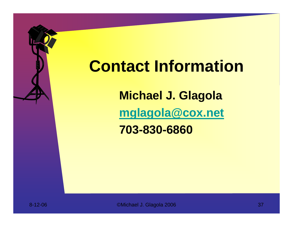### **Contact Information**

**Michael J. Glagola [mglagola@cox.net](mailto:mglagola@cox.net)**

**703-830-6860**